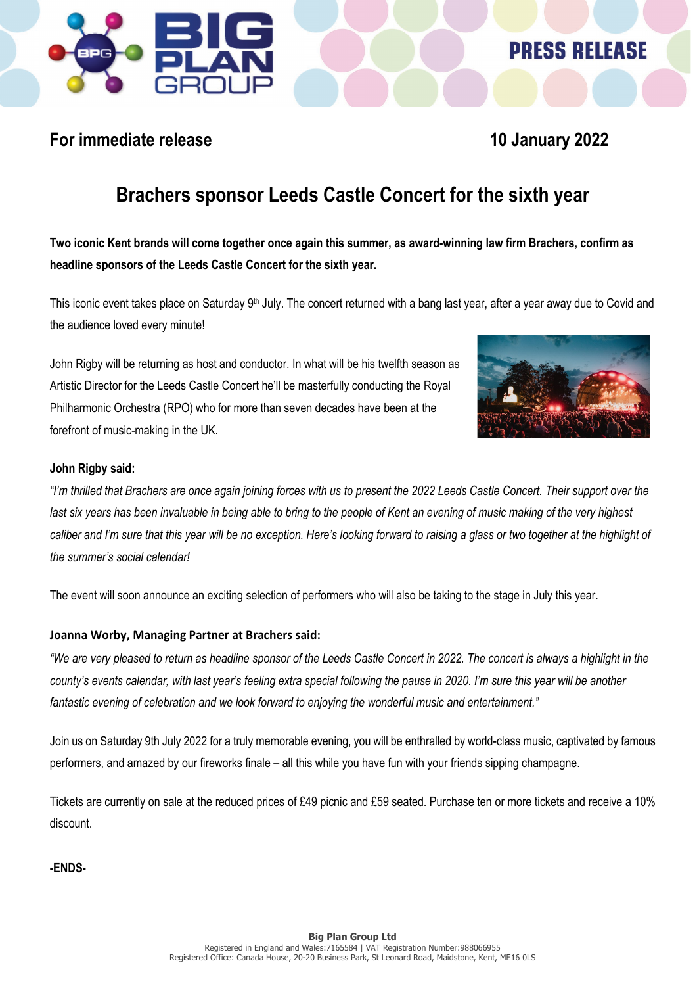

### **PRESS RELEASE**

### **For immediate release 10 January 2022**

# **Brachers sponsor Leeds Castle Concert for the sixth year**

**Two iconic Kent brands will come together once again this summer, as award-winning law firm Brachers, confirm as headline sponsors of the Leeds Castle Concert for the sixth year.**

This iconic event takes place on Saturday 9<sup>th</sup> July. The concert returned with a bang last year, after a year away due to Covid and the audience loved every minute!

John Rigby will be returning as host and conductor. In what will be his twelfth season as Artistic Director for the Leeds Castle Concert he'll be masterfully conducting the Royal Philharmonic Orchestra (RPO) who for more than seven decades have been at the forefront of music-making in the UK.



### **John Rigby said:**

*"I'm thrilled that Brachers are once again joining forces with us to present the 2022 Leeds Castle Concert. Their support over the*  last six years has been invaluable in being able to bring to the people of Kent an evening of music making of the very highest *caliber and I'm sure that this year will be no exception. Here's looking forward to raising a glass or two together at the highlight of the summer's social calendar!*

The event will soon announce an exciting selection of performers who will also be taking to the stage in July this year.

### **Joanna Worby, Managing Partner at Brachers said:**

*"We are very pleased to return as headline sponsor of the Leeds Castle Concert in 2022. The concert is always a highlight in the county's events calendar, with last year's feeling extra special following the pause in 2020. I'm sure this year will be another fantastic evening of celebration and we look forward to enjoying the wonderful music and entertainment."*

Join us on Saturday 9th July 2022 for a truly memorable evening, you will be enthralled by world-class music, captivated by famous performers, and amazed by our fireworks finale – all this while you have fun with your friends sipping champagne.

Tickets are currently on sale at the reduced prices of £49 picnic and £59 seated. Purchase ten or more tickets and receive a 10% discount.

**-ENDS-**